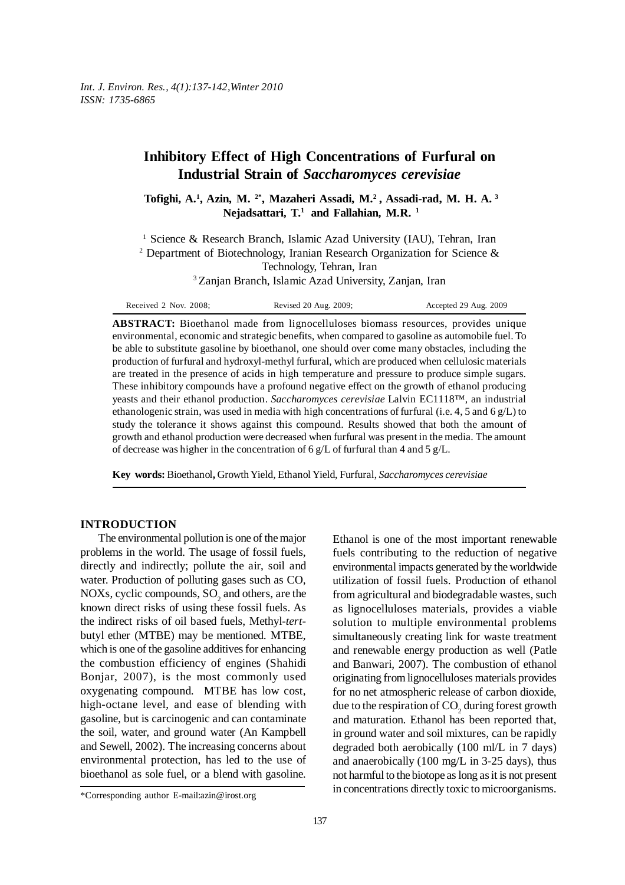# **Inhibitory Effect of High Concentrations of Furfural on Industrial Strain of** *Saccharomyces cerevisiae*

**Tofighi, A.1 , Azin, M. 2\*, Mazaheri Assadi, M.2 , Assadi-rad, M. H. A. 3 Nejadsattari, T.1 and Fallahian, M.R. 1**

<sup>1</sup> Science & Research Branch, Islamic Azad University (IAU), Tehran, Iran <sup>2</sup> Department of Biotechnology, Iranian Research Organization for Science & Technology, Tehran, Iran 3 Zanjan Branch, Islamic Azad University, Zanjan, Iran

| Received 2 Nov. 2008; | Revised 20 Aug. 2009; | Accepted 29 Aug. 2009 |
|-----------------------|-----------------------|-----------------------|
|-----------------------|-----------------------|-----------------------|

**ABSTRACT:** Bioethanol made from lignocelluloses biomass resources, provides unique environmental, economic and strategic benefits, when compared to gasoline as automobile fuel. To be able to substitute gasoline by bioethanol, one should over come many obstacles, including the production of furfural and hydroxyl-methyl furfural, which are produced when cellulosic materials are treated in the presence of acids in high temperature and pressure to produce simple sugars. These inhibitory compounds have a profound negative effect on the growth of ethanol producing yeasts and their ethanol production. *Saccharomyces cerevisiae* Lalvin EC1118™, an industrial ethanologenic strain, was used in media with high concentrations of furfural (i.e. 4, 5 and 6 g/L) to study the tolerance it shows against this compound. Results showed that both the amount of growth and ethanol production were decreased when furfural was present in the media. The amount of decrease was higher in the concentration of  $6 g/L$  of furfural than 4 and 5  $g/L$ .

**Key words:** Bioethanol**,** Growth Yield, Ethanol Yield, Furfural, *Saccharomyces cerevisiae*

# **INTRODUCTION**

The environmental pollution is one of the major problems in the world. The usage of fossil fuels, directly and indirectly; pollute the air, soil and water. Production of polluting gases such as CO, NOXs, cyclic compounds,  $SO_2$  and others, are the known direct risks of using these fossil fuels. As the indirect risks of oil based fuels, Methyl-*tert*butyl ether (MTBE) may be mentioned. MTBE, which is one of the gasoline additives for enhancing the combustion efficiency of engines (Shahidi Bonjar, 2007), is the most commonly used oxygenating compound. MTBE has low cost, high-octane level, and ease of blending with gasoline, but is carcinogenic and can contaminate the soil, water, and ground water (An Kampbell and Sewell, 2002). The increasing concerns about environmental protection, has led to the use of bioethanol as sole fuel, or a blend with gasoline.

Ethanol is one of the most important renewable fuels contributing to the reduction of negative environmental impacts generated by the worldwide utilization of fossil fuels. Production of ethanol from agricultural and biodegradable wastes, such as lignocelluloses materials, provides a viable solution to multiple environmental problems simultaneously creating link for waste treatment and renewable energy production as well (Patle and Banwari, 2007). The combustion of ethanol originating from lignocelluloses materials provides for no net atmospheric release of carbon dioxide, due to the respiration of  $\mathrm{CO}_2$  during forest growth and maturation. Ethanol has been reported that, in ground water and soil mixtures, can be rapidly degraded both aerobically (100 ml/L in 7 days) and anaerobically (100 mg/L in 3-25 days), thus not harmful to the biotope as long as it is not present in concentrations directly toxic to microorganisms.

<sup>\*</sup>Corresponding author E-mail:azin@irost.org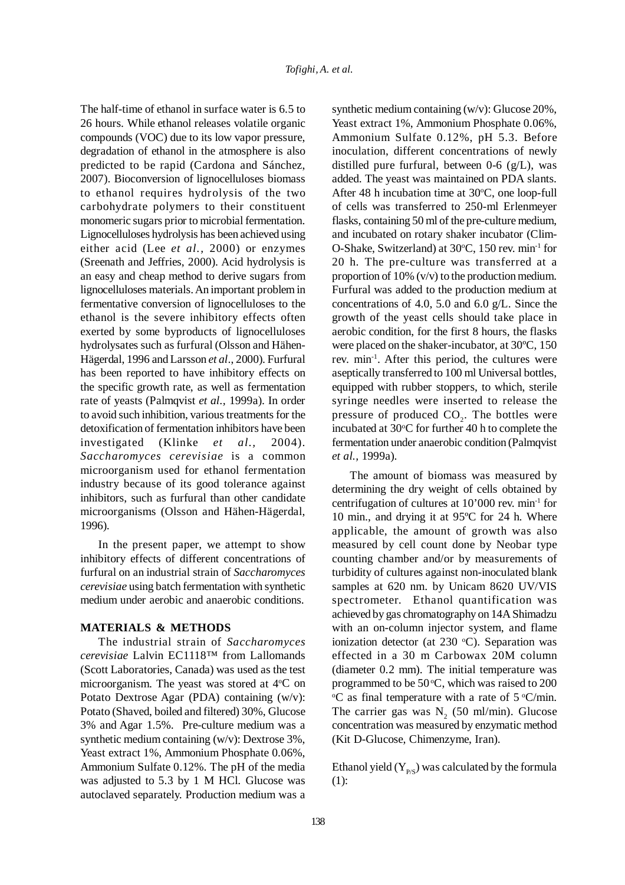The half-time of ethanol in surface water is 6.5 to 26 hours. While ethanol releases volatile organic compounds (VOC) due to its low vapor pressure, degradation of ethanol in the atmosphere is also predicted to be rapid (Cardona and Sánchez, 2007). Bioconversion of lignocelluloses biomass to ethanol requires hydrolysis of the two carbohydrate polymers to their constituent monomeric sugars prior to microbial fermentation. Lignocelluloses hydrolysis has been achieved using either acid (Lee *et al.,* 2000) or enzymes (Sreenath and Jeffries, 2000). Acid hydrolysis is an easy and cheap method to derive sugars from lignocelluloses materials. An important problem in fermentative conversion of lignocelluloses to the ethanol is the severe inhibitory effects often exerted by some byproducts of lignocelluloses hydrolysates such as furfural (Olsson and Hähen-Hägerdal, 1996 and Larsson *et al*., 2000). Furfural has been reported to have inhibitory effects on the specific growth rate, as well as fermentation rate of yeasts (Palmqvist *et al.,* 1999a). In order to avoid such inhibition, various treatments for the detoxification of fermentation inhibitors have been investigated (Klinke *et al.,* 2004). *Saccharomyces cerevisiae* is a common microorganism used for ethanol fermentation industry because of its good tolerance against inhibitors, such as furfural than other candidate microorganisms (Olsson and Hähen-Hägerdal, 1996).

In the present paper, we attempt to show inhibitory effects of different concentrations of furfural on an industrial strain of *Saccharomyces cerevisiae* using batch fermentation with synthetic medium under aerobic and anaerobic conditions.

#### **MATERIALS & METHODS**

The industrial strain of *Saccharomyces cerevisiae* Lalvin EC1118™ from Lallomands (Scott Laboratories, Canada) was used as the test microorganism. The yeast was stored at 4°C on Potato Dextrose Agar (PDA) containing (w/v): Potato (Shaved, boiled and filtered) 30%, Glucose 3% and Agar 1.5%. Pre-culture medium was a synthetic medium containing (w/v): Dextrose 3%, Yeast extract 1%, Ammonium Phosphate 0.06%, Ammonium Sulfate 0.12%. The pH of the media was adjusted to 5.3 by 1 M HCl. Glucose was autoclaved separately. Production medium was a

synthetic medium containing (w/v): Glucose 20%, Yeast extract 1%, Ammonium Phosphate 0.06%, Ammonium Sulfate 0.12%, pH 5.3. Before inoculation, different concentrations of newly distilled pure furfural, between  $0\n-6$  (g/L), was added. The yeast was maintained on PDA slants. After 48 h incubation time at 30°C, one loop-full of cells was transferred to 250-ml Erlenmeyer flasks, containing 50 ml of the pre-culture medium, and incubated on rotary shaker incubator (Clim-O-Shake, Switzerland) at 30°C, 150 rev. min<sup>-1</sup> for 20 h. The pre-culture was transferred at a proportion of 10% (v/v) to the production medium. Furfural was added to the production medium at concentrations of 4.0, 5.0 and 6.0 g/L. Since the growth of the yeast cells should take place in aerobic condition, for the first 8 hours, the flasks were placed on the shaker-incubator, at 30ºC, 150 rev. min-1. After this period, the cultures were aseptically transferred to 100 ml Universal bottles, equipped with rubber stoppers, to which, sterile syringe needles were inserted to release the pressure of produced  $CO<sub>2</sub>$ . The bottles were incubated at 30°C for further 40 h to complete the fermentation under anaerobic condition (Palmqvist *et al.,* 1999a).

The amount of biomass was measured by determining the dry weight of cells obtained by centrifugation of cultures at 10'000 rev. min-1 for 10 min., and drying it at 95ºC for 24 h. Where applicable, the amount of growth was also measured by cell count done by Neobar type counting chamber and/or by measurements of turbidity of cultures against non-inoculated blank samples at 620 nm. by Unicam 8620 UV/VIS spectrometer. Ethanol quantification was achieved by gas chromatography on 14A Shimadzu with an on-column injector system, and flame ionization detector (at  $230$  °C). Separation was effected in a 30 m Carbowax 20M column (diameter 0.2 mm). The initial temperature was programmed to be  $50^{\circ}$ C, which was raised to  $200$  $\rm{C}$  as final temperature with a rate of 5  $\rm{C/min}$ . The carrier gas was  $N<sub>2</sub>$  (50 ml/min). Glucose concentration was measured by enzymatic method (Kit D-Glucose, Chimenzyme, Iran).

Ethanol yield  $(Y_{PS})$  was calculated by the formula (1):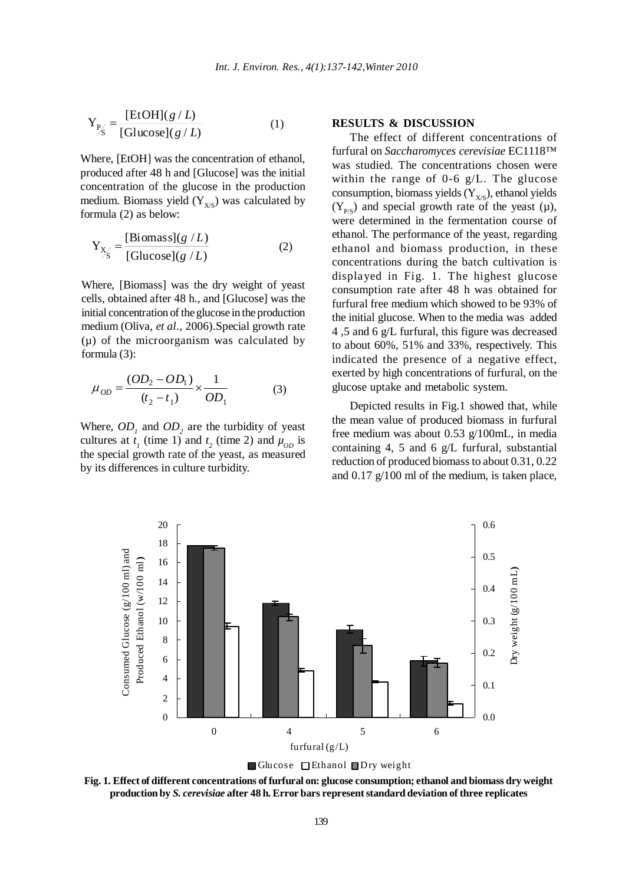$$
Y_{P'_S} = \frac{[EtOH](g/L)}{[Glucose](g/L)}
$$
 (1)

Where, [EtOH] was the concentration of ethanol, produced after 48 h and [Glucose] was the initial concentration of the glucose in the production medium. Biomass yield  $(Y_{X/S})$  was calculated by formula (2) as below:

$$
Y_{X'_S} = \frac{[Biomass](g/L)}{[Glucose](g/L)}
$$
(2)

Where, [Biomass] was the dry weight of yeast cells, obtained after 48 h., and [Glucose] was the initial concentration of the glucose in the production medium (Oliva, *et al.,* 2006).Special growth rate  $(\mu)$  of the microorganism was calculated by formula (3):

$$
\mu_{OD} = \frac{(OD_2 - OD_1)}{(t_2 - t_1)} \times \frac{1}{OD_1}
$$
(3)

Where,  $OD_1$  and  $OD_2$  are the turbidity of yeast cultures at  $t_1$  (time 1) and  $t_2$  (time 2) and  $\mu_{OD}$  is the special growth rate of the yeast, as measured by its differences in culture turbidity.

# **RESULTS & DISCUSSION**

The effect of different concentrations of furfural on *Saccharomyces cerevisiae* EC1118™ was studied. The concentrations chosen were within the range of 0-6 g/L. The glucose consumption, biomass yields  $(Y_{X/S})$ , ethanol yields  $(Y_{P/S})$  and special growth rate of the yeast (µ), were determined in the fermentation course of ethanol. The performance of the yeast, regarding ethanol and biomass production, in these concentrations during the batch cultivation is displayed in Fig. 1. The highest glucose consumption rate after 48 h was obtained for furfural free medium which showed to be 93% of the initial glucose. When to the media was added 4 ,5 and 6 g/L furfural, this figure was decreased to about 60%, 51% and 33%, respectively. This indicated the presence of a negative effect, exerted by high concentrations of furfural, on the glucose uptake and metabolic system.

Depicted results in Fig.1 showed that, while the mean value of produced biomass in furfural free medium was about 0.53 g/100mL, in media containing 4, 5 and 6 g/L furfural, substantial reduction of produced biomass to about 0.31, 0.22 and 0.17 g/100 ml of the medium, is taken place,





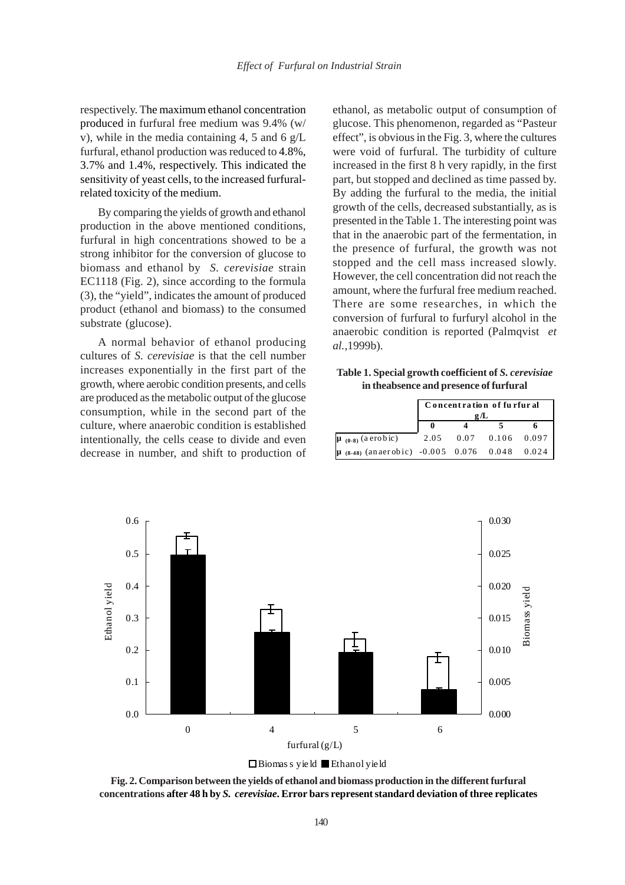respectively. The maximum ethanol concentration produced in furfural free medium was 9.4% (w/ v), while in the media containing 4, 5 and 6 g/L furfural, ethanol production was reduced to 4.8%, 3.7% and 1.4%, respectively. This indicated the sensitivity of yeast cells, to the increased furfuralrelated toxicity of the medium.

By comparing the yields of growth and ethanol production in the above mentioned conditions, furfural in high concentrations showed to be a strong inhibitor for the conversion of glucose to biomass and ethanol by *S. cerevisiae* strain EC1118 (Fig. 2), since according to the formula (3), the "yield", indicates the amount of produced product (ethanol and biomass) to the consumed substrate (glucose).

A normal behavior of ethanol producing cultures of *S. cerevisiae* is that the cell number increases exponentially in the first part of the growth, where aerobic condition presents, and cells are produced as the metabolic output of the glucose consumption, while in the second part of the culture, where anaerobic condition is established intentionally, the cells cease to divide and even decrease in number, and shift to production of ethanol, as metabolic output of consumption of glucose. This phenomenon, regarded as "Pasteur effect", is obvious in the Fig. 3, where the cultures were void of furfural. The turbidity of culture increased in the first 8 h very rapidly, in the first part, but stopped and declined as time passed by. By adding the furfural to the media, the initial growth of the cells, decreased substantially, as is presented in the Table 1. The interesting point was that in the anaerobic part of the fermentation, in the presence of furfural, the growth was not stopped and the cell mass increased slowly. However, the cell concentration did not reach the amount, where the furfural free medium reached. There are some researches, in which the conversion of furfural to furfuryl alcohol in the anaerobic condition is reported (Palmqvist *et al.,*1999b).

**Table 1. Special growth coefficient of** *S. cerevisiae* **in theabsence and presence of furfural**

|                                               | Concentration of furfur al<br>g/L |  |                       |  |
|-----------------------------------------------|-----------------------------------|--|-----------------------|--|
|                                               |                                   |  |                       |  |
| $\mu_{(0-8)}$ (a erobic)                      |                                   |  | 2.05 0.07 0.106 0.097 |  |
| $(8.48)$ (anaerobic) -0.005 0.076 0.048 0.024 |                                   |  |                       |  |



**Fig. 2. Comparison between the yields of ethanol and biomass production in the different furfural concentrations after 48 h by** *S. cerevisiae***. Error bars represent standard deviation of three replicates**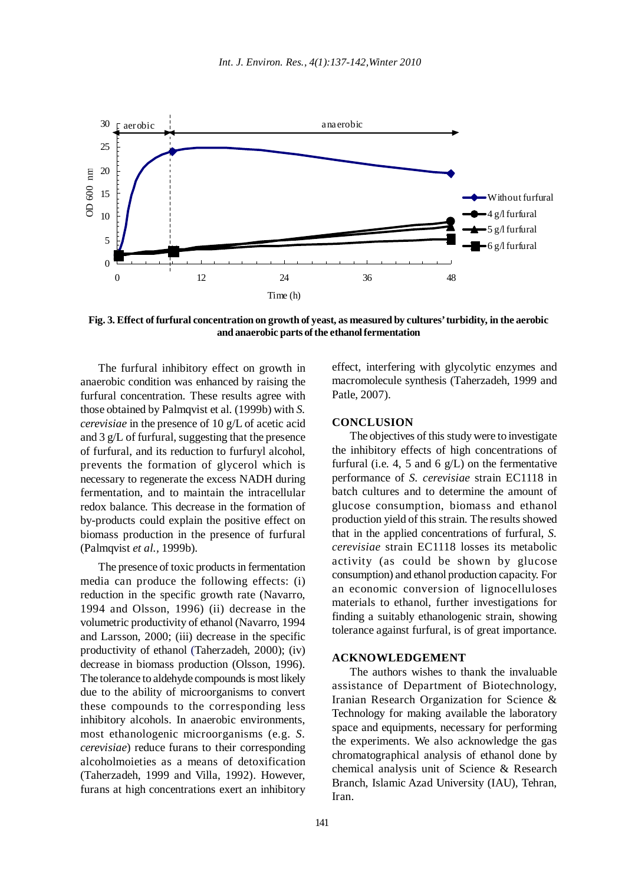

**Fig. 3. Effect of furfural concentration on growth of yeast, as measured by cultures' turbidity, in the aerobic and anaerobic parts of the ethanol fermentation**

The furfural inhibitory effect on growth in anaerobic condition was enhanced by raising the furfural concentration. These results agree with those obtained by Palmqvist et al. (1999b) with *S. cerevisiae* in the presence of 10 g/L of acetic acid and 3 g/L of furfural, suggesting that the presence of furfural, and its reduction to furfuryl alcohol, prevents the formation of glycerol which is necessary to regenerate the excess NADH during fermentation, and to maintain the intracellular redox balance. This decrease in the formation of by-products could explain the positive effect on biomass production in the presence of furfural (Palmqvist *et al.,* 1999b).

The presence of toxic products in fermentation media can produce the following effects: (i) reduction in the specific growth rate (Navarro, 1994 and Olsson, 1996) (ii) decrease in the volumetric productivity of ethanol (Navarro, 1994 and Larsson, 2000; (iii) decrease in the specific productivity of ethanol (Taherzadeh, 2000); (iv) decrease in biomass production (Olsson, 1996). The tolerance to aldehyde compounds is most likely due to the ability of microorganisms to convert these compounds to the corresponding less inhibitory alcohols. In anaerobic environments, most ethanologenic microorganisms (e.g. *S. cerevisiae*) reduce furans to their corresponding alcoholmoieties as a means of detoxification (Taherzadeh, 1999 and Villa, 1992). However, furans at high concentrations exert an inhibitory

effect, interfering with glycolytic enzymes and macromolecule synthesis (Taherzadeh, 1999 and Patle, 2007).

# **CONCLUSION**

The objectives of this study were to investigate the inhibitory effects of high concentrations of furfural (i.e. 4, 5 and 6  $g/L$ ) on the fermentative performance of *S. cerevisiae* strain EC1118 in batch cultures and to determine the amount of glucose consumption, biomass and ethanol production yield of this strain. The results showed that in the applied concentrations of furfural, *S. cerevisiae* strain EC1118 losses its metabolic activity (as could be shown by glucose consumption) and ethanol production capacity. For an economic conversion of lignocelluloses materials to ethanol, further investigations for finding a suitably ethanologenic strain, showing tolerance against furfural, is of great importance.

#### **ACKNOWLEDGEMENT**

The authors wishes to thank the invaluable assistance of Department of Biotechnology, Iranian Research Organization for Science & Technology for making available the laboratory space and equipments, necessary for performing the experiments. We also acknowledge the gas chromatographical analysis of ethanol done by chemical analysis unit of Science & Research Branch, Islamic Azad University (IAU), Tehran, Iran.